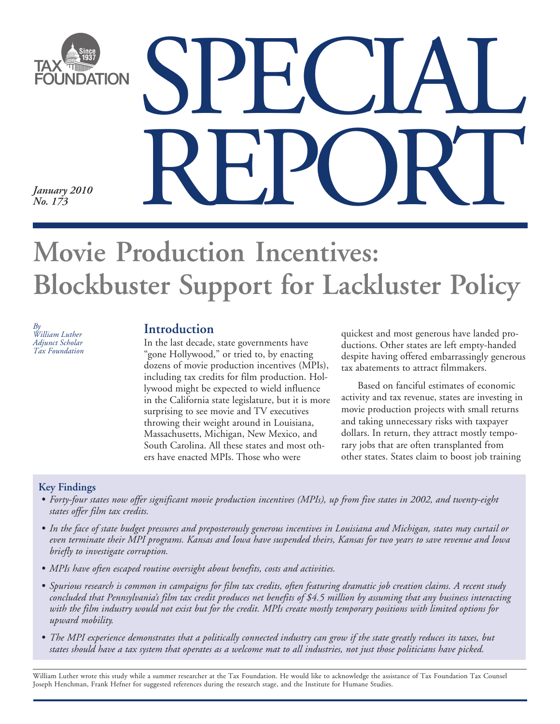

# **Movie Production Incentives: Blockbuster Support for Lackluster Policy**

*By William Luther Adjunct Scholar Tax Foundation* 

In the last decade, state governments have "gone Hollywood," or tried to, by enacting dozens of movie production incentives (MPIs), including tax credits for film production. Hollywood might be expected to wield influence in the California state legislature, but it is more surprising to see movie and TV executives throwing their weight around in Louisiana, Massachusetts, Michigan, New Mexico, and South Carolina. All these states and most others have enacted MPIs. Those who were

**Introduction a** quickest and most generous have landed productions. Other states are left empty-handed despite having offered embarrassingly generous tax abatements to attract filmmakers.

> Based on fanciful estimates of economic activity and tax revenue, states are investing in movie production projects with small returns and taking unnecessary risks with taxpayer dollars. In return, they attract mostly temporary jobs that are often transplanted from other states. States claim to boost job training

### **Key Findings**

- Forty-four states now offer significant movie production incentives (MPIs), up from five states in 2002, and twenty-eight *states offer film tax credits.*
- In the face of state budget pressures and preposterously generous incentives in Louisiana and Michigan, states may curtail or *even terminate their MPI programs. Kansas and Iowa have suspended theirs, Kansas for two years to save revenue and Iowa briefly to investigate corruption.*
- *MPIs have often escaped routine oversight about benefits, costs and activities.*
- *• Spurious research is common in campaigns for film tax credits, often featuring dramatic job creation claims. A recent study concluded that Pennsylvania's film tax credit produces net benefits of \$4.5 million by assuming that any business interacting with the film industry would not exist but for the credit. MPIs create mostly temporary positions with limited options for upward mobility.*
- The MPI experience demonstrates that a politically connected industry can grow if the state greatly reduces its taxes, but *states should have a tax system that operates as a welcome mat to all industries, not just those politicians have picked.*

William Luther wrote this study while a summer researcher at the Tax Foundation. He would like to acknowledge the assistance of Tax Foundation Tax Counsel Joseph Henchman, Frank Hefner for suggested references during the research stage, and the Institute for Humane Studies.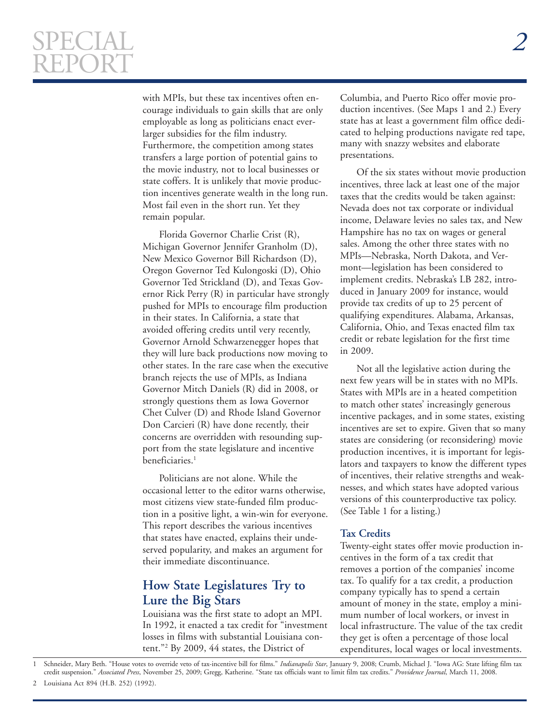# SPECIAL *2*  REPORT

 $\overline{a}$ 

with MPIs, but these tax incentives often encourage individuals to gain skills that are only employable as long as politicians enact everlarger subsidies for the film industry. Furthermore, the competition among states transfers a large portion of potential gains to the movie industry, not to local businesses or state coffers. It is unlikely that movie production incentives generate wealth in the long run. Most fail even in the short run. Yet they remain popular.

Florida Governor Charlie Crist (R), Michigan Governor Jennifer Granholm (D), New Mexico Governor Bill Richardson (D), Oregon Governor Ted Kulongoski (D), Ohio Governor Ted Strickland (D), and Texas Governor Rick Perry (R) in particular have strongly pushed for MPIs to encourage film production in their states. In California, a state that avoided offering credits until very recently, Governor Arnold Schwarzenegger hopes that they will lure back productions now moving to other states. In the rare case when the executive branch rejects the use of MPIs, as Indiana Governor Mitch Daniels (R) did in 2008, or strongly questions them as Iowa Governor Chet Culver (D) and Rhode Island Governor Don Carcieri (R) have done recently, their concerns are overridden with resounding support from the state legislature and incentive beneficiaries.<sup>1</sup>

Politicians are not alone. While the occasional letter to the editor warns otherwise, most citizens view state-funded film production in a positive light, a win-win for everyone. This report describes the various incentives that states have enacted, explains their undeserved popularity, and makes an argument for their immediate discontinuance.

# **How State Legislatures Try to Lure the Big Stars**

Louisiana was the first state to adopt an MPI. In 1992, it enacted a tax credit for "investment losses in films with substantial Louisiana content."2 By 2009, 44 states, the District of

Columbia, and Puerto Rico offer movie production incentives. (See Maps 1 and 2.) Every state has at least a government film office dedicated to helping productions navigate red tape, many with snazzy websites and elaborate presentations.

Of the six states without movie production incentives, three lack at least one of the major taxes that the credits would be taken against: Nevada does not tax corporate or individual income, Delaware levies no sales tax, and New Hampshire has no tax on wages or general sales. Among the other three states with no MPIs—Nebraska, North Dakota, and Vermont—legislation has been considered to implement credits. Nebraska's LB 282, introduced in January 2009 for instance, would provide tax credits of up to 25 percent of qualifying expenditures. Alabama, Arkansas, California, Ohio, and Texas enacted film tax credit or rebate legislation for the first time in 2009.

Not all the legislative action during the next few years will be in states with no MPIs. States with MPIs are in a heated competition to match other states' increasingly generous incentive packages, and in some states, existing incentives are set to expire. Given that so many states are considering (or reconsidering) movie production incentives, it is important for legislators and taxpayers to know the different types of incentives, their relative strengths and weaknesses, and which states have adopted various versions of this counterproductive tax policy. (See Table 1 for a listing.)

#### **Tax Credits**

Twenty-eight states offer movie production incentives in the form of a tax credit that removes a portion of the companies' income tax. To qualify for a tax credit, a production company typically has to spend a certain amount of money in the state, employ a minimum number of local workers, or invest in local infrastructure. The value of the tax credit they get is often a percentage of those local expenditures, local wages or local investments.

Schneider, Mary Beth. "House votes to override veto of tax-incentive bill for films." *Indianapolis Star*, January 9, 2008; Crumb, Michael J. "Iowa AG: State lifting film tax credit suspension." *Associated Press*, November 25, 2009; Gregg, Katherine. "State tax officials want to limit film tax credits." *Providence Journal*, March 11, 2008.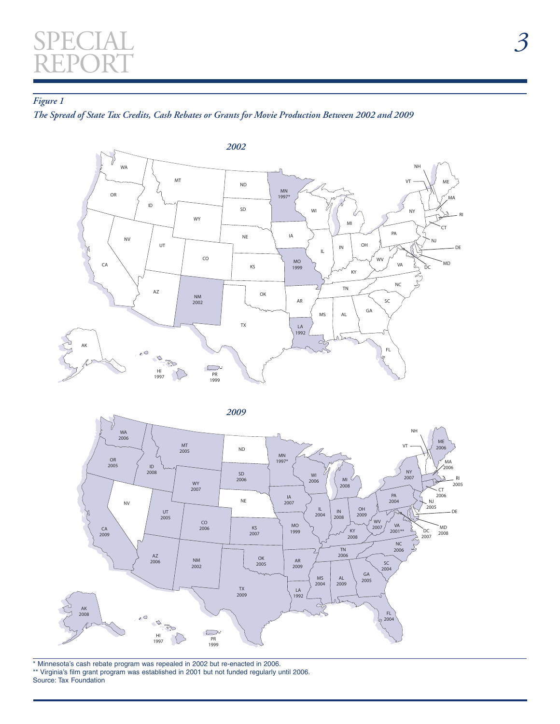# SPECIAL *3*  REPORT

 $\overline{a}$ 

### *Figure 1*

*The Spread of State Tax Credits, Cash Rebates or Grants for Movie Production Between 2002 and 2009* 





\* Minnesota's cash rebate program was repealed in 2002 but re-enacted in 2006. \*\* Virginia's film grant program was established in 2001 but not funded regularly until 2006. Source: Tax Foundation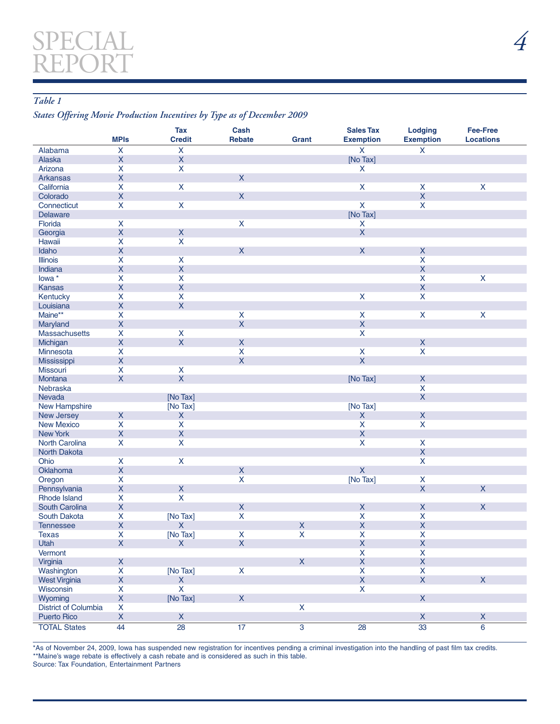### *Table 1*

### *States Offering Movie Production Incentives by Type as of December 2009*

 $\overline{a}$ 

|                                       | <b>MPIs</b>                              | <b>Tax</b><br><b>Credit</b> | Cash<br><b>Rebate</b>   | Grant          | <b>Sales Tax</b><br><b>Exemption</b> | <b>Lodging</b><br><b>Exemption</b> | <b>Fee-Free</b><br><b>Locations</b> |
|---------------------------------------|------------------------------------------|-----------------------------|-------------------------|----------------|--------------------------------------|------------------------------------|-------------------------------------|
| Alabama                               | $\boldsymbol{\mathsf{X}}$                | $\pmb{\mathsf{X}}$          |                         |                | $\boldsymbol{\mathsf{X}}$            | X                                  |                                     |
| Alaska                                | $\pmb{\times}$                           | $\mathsf X$                 |                         |                | [No Tax]                             |                                    |                                     |
| Arizona                               | X                                        | $\overline{\mathsf{x}}$     |                         |                | X                                    |                                    |                                     |
| <b>Arkansas</b>                       | $\mathsf X$                              |                             | $\mathsf{X}$            |                |                                      |                                    |                                     |
| California                            | $\mathsf{X}$                             | $\pmb{\mathsf{X}}$          |                         |                | $\mathsf{X}$                         | $\mathsf{X}$                       | $\pmb{\mathsf{X}}$                  |
| Colorado                              | $\overline{\mathsf{X}}$                  |                             | $\mathsf{X}$            |                |                                      | $\mathsf{X}$                       |                                     |
| Connecticut                           | X                                        | $\mathsf{x}$                |                         |                | $\overline{\mathsf{x}}$              | $\mathsf{X}$                       |                                     |
| <b>Delaware</b>                       |                                          |                             |                         |                | [No Tax]                             |                                    |                                     |
| Florida                               | $\boldsymbol{\mathsf{X}}$                |                             | $\mathsf{X}$            |                | $\pmb{\mathsf{X}}$                   |                                    |                                     |
| Georgia                               | $\mathsf X$                              | $\mathsf X$                 |                         |                | $\mathsf X$                          |                                    |                                     |
| Hawaii                                | $\mathsf{X}$                             | $\pmb{\mathsf{X}}$          |                         |                |                                      |                                    |                                     |
| Idaho                                 | $\mathsf X$                              |                             | $\mathsf{X}$            |                | $\mathsf{X}$                         | $\mathsf X$                        |                                     |
| <b>Illinois</b>                       | X                                        | $\pmb{\mathsf{X}}$          |                         |                |                                      | $\mathsf{X}$                       |                                     |
| Indiana                               | $\pmb{\mathsf{X}}$                       | $\mathsf X$                 |                         |                |                                      | $\mathsf{X}$                       |                                     |
| lowa *                                | X                                        | $\pmb{\mathsf{X}}$          |                         |                |                                      | $\mathsf{X}$                       | $\mathsf{X}$                        |
| <b>Kansas</b>                         | $\mathsf{X}% _{0}$                       | $\mathsf X$                 |                         |                |                                      | $\mathsf X$                        |                                     |
| Kentucky                              | $\mathsf{X}$                             | $\pmb{\mathsf{X}}$          |                         |                | $\mathsf{X}$                         | $\mathsf{X}$                       |                                     |
| Louisiana                             | $\mathsf X$                              | $\mathsf X$                 |                         |                |                                      |                                    |                                     |
| Maine**                               | $\mathsf{x}$                             |                             | $\overline{\mathsf{x}}$ |                | $\overline{\mathsf{x}}$              | $\overline{\mathsf{X}}$            | $\mathsf{x}$                        |
| Maryland                              | $\pmb{\times}$                           |                             | $\mathsf{X}$            |                | $\mathsf X$                          |                                    |                                     |
| Massachusetts                         | X                                        | $\pmb{\mathsf{X}}$          |                         |                | $\pmb{\mathsf{X}}$                   |                                    |                                     |
| Michigan                              | $\mathsf X$                              | $\mathsf{X}$                | $\mathsf{X}$            |                |                                      | $\mathsf X$                        |                                     |
| Minnesota                             | $\mathsf{X}$                             |                             | $\pmb{\mathsf{X}}$      |                | X                                    | $\pmb{\mathsf{X}}$                 |                                     |
| Mississippi                           | $\mathsf X$                              |                             | $\mathsf{X}$            |                | $\overline{\mathsf{X}}$              |                                    |                                     |
| <b>Missouri</b>                       | X                                        | $\pmb{\mathsf{X}}$          |                         |                |                                      |                                    |                                     |
| Montana                               | $\pmb{\mathsf{X}}$                       | $\overline{\mathsf{X}}$     |                         |                | [No Tax]                             | $\mathsf X$                        |                                     |
| Nebraska                              |                                          |                             |                         |                |                                      | $\mathsf{X}$                       |                                     |
| Nevada                                |                                          | [No Tax]                    |                         |                |                                      | $\mathsf{X}$                       |                                     |
| <b>New Hampshire</b>                  |                                          | [No Tax]                    |                         |                | [No Tax]                             |                                    |                                     |
| New Jersey                            | $\mathsf X$                              | $\boldsymbol{\mathsf{X}}$   |                         |                | $\boldsymbol{\mathsf{X}}$            | $\mathsf X$                        |                                     |
| <b>New Mexico</b>                     | $\mathsf{x}$                             | $\overline{\mathsf{X}}$     |                         |                | $\overline{\mathsf{x}}$              | $\overline{\mathsf{X}}$            |                                     |
| <b>New York</b>                       | $\mathsf X$                              | $\mathsf X$                 |                         |                | $\pmb{\mathsf{X}}$                   |                                    |                                     |
| North Carolina                        | X                                        | $\pmb{\mathsf{X}}$          |                         |                | $\boldsymbol{\mathsf{X}}$            | $\mathsf{X}$                       |                                     |
| <b>North Dakota</b>                   |                                          |                             |                         |                |                                      | $\mathsf X$                        |                                     |
| Ohio                                  | X                                        | $\pmb{\mathsf{X}}$          |                         |                |                                      | $\pmb{\mathsf{X}}$                 |                                     |
|                                       | $\mathsf X$                              |                             | $\mathsf X$             |                | $\overline{\mathsf{x}}$              |                                    |                                     |
| Oklahoma<br>Oregon                    | X                                        |                             | $\overline{\mathsf{x}}$ |                | [No Tax]                             | $\pmb{\mathsf{X}}$                 |                                     |
|                                       | $\mathsf X$                              | $\mathsf X$                 |                         |                |                                      | $\mathsf{X}$                       | X                                   |
| Pennsylvania                          |                                          |                             |                         |                |                                      |                                    |                                     |
| <b>Rhode Island</b><br>South Carolina | X<br>$\mathsf X$                         | $\mathsf{X}$                | $\mathsf X$             |                | $\pmb{\mathsf{X}}$                   | $\mathsf X$                        | $\mathsf{X}$                        |
|                                       |                                          |                             | $\pmb{\times}$          |                | $\pmb{\mathsf{X}}$                   | $\pmb{\mathsf{X}}$                 |                                     |
| South Dakota                          | $\boldsymbol{\mathsf{X}}$<br>$\mathsf X$ | [No Tax]                    |                         |                |                                      | $\overline{X}$                     |                                     |
| <b>Tennessee</b>                      |                                          | $\pmb{\mathsf{X}}$          |                         | $\mathsf X$    | $\mathsf X$                          |                                    |                                     |
| Texas                                 | X<br>$\mathsf{X}$                        | [No Tax]                    | X                       | X              | X<br>$\mathsf X$                     | X                                  |                                     |
| Utah                                  |                                          | $\mathsf{X}$                | $\mathsf X$             |                |                                      | $\mathsf X$                        |                                     |
| Vermont                               |                                          |                             |                         | $\mathsf{X}$   | X                                    | $\mathsf{X}$                       |                                     |
| Virginia                              | $\mathsf{X}$                             |                             |                         |                | $\mathsf X$                          | $\mathsf X$                        |                                     |
| Washington                            | $\pmb{\mathsf{X}}$                       | [No Tax]                    | $\mathsf{X}$            |                | $\pmb{\mathsf{X}}$                   | $\pmb{\mathsf{X}}$                 |                                     |
| <b>West Virginia</b>                  | $\mathsf X$                              | $\mathsf X$                 |                         |                | $\mathsf X$                          | $\mathsf{X}$                       | $\mathsf X$                         |
| Wisconsin                             | X                                        | $\overline{\mathsf{x}}$     |                         |                | $\mathsf{X}$                         |                                    |                                     |
| Wyoming                               | $\mathsf X$                              | [No Tax]                    | $\mathsf X$             |                |                                      | $\mathsf{X}$                       |                                     |
| District of Columbia                  | $\boldsymbol{\mathsf{X}}$                |                             |                         | $\mathsf X$    |                                      |                                    |                                     |
| <b>Puerto Rico</b>                    | $\mathsf X$                              | $\mathsf X$                 |                         |                |                                      | $\mathsf X$                        | $\mathsf X$                         |
| <b>TOTAL States</b>                   | 44                                       | 28                          | 17 <sup>2</sup>         | $\overline{3}$ | 28                                   | $\overline{33}$                    | $\overline{6}$                      |

\*As of November 24, 2009, Iowa has suspended new registration for incentives pending a criminal investigation into the handling of past film tax credits. \*\*Maine's wage rebate is effectively a cash rebate and is considered as such in this table. Source: Tax Foundation, Entertainment Partners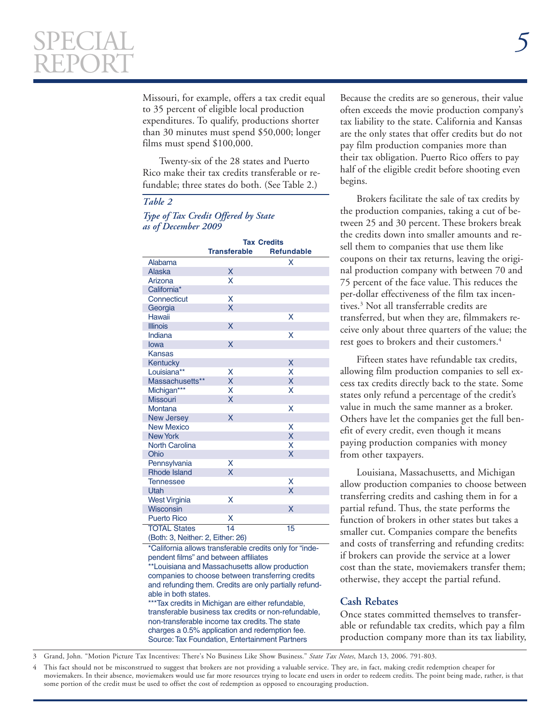Missouri, for example, offers a tax credit equal to 35 percent of eligible local production expenditures. To qualify, productions shorter than 30 minutes must spend \$50,000; longer films must spend \$100,000.

Twenty-six of the 28 states and Puerto Rico make their tax credits transferable or refundable; three states do both. (See Table 2.)

### *Table 2*

 $\overline{a}$ 

#### *Type of Tax Credit Offered by State as of December 2009*

|                                   | <b>Tax Credits</b><br><b>Transferable</b><br><b>Refundable</b> |    |  |  |  |  |
|-----------------------------------|----------------------------------------------------------------|----|--|--|--|--|
| Alabama                           |                                                                | X  |  |  |  |  |
| <b>Alaska</b>                     | X                                                              |    |  |  |  |  |
| Arizona                           | X                                                              |    |  |  |  |  |
| California*                       |                                                                |    |  |  |  |  |
| Connecticut                       | X                                                              |    |  |  |  |  |
| Georgia                           | X                                                              |    |  |  |  |  |
| <b>Hawaii</b>                     |                                                                | x  |  |  |  |  |
| <b>Illinois</b>                   | X                                                              |    |  |  |  |  |
| Indiana                           |                                                                | X  |  |  |  |  |
| lowa                              | X                                                              |    |  |  |  |  |
| <b>Kansas</b>                     |                                                                |    |  |  |  |  |
| Kentucky                          |                                                                | X  |  |  |  |  |
| Louisiana**                       | x                                                              | X  |  |  |  |  |
| Massachusetts**                   | X                                                              | X  |  |  |  |  |
| Michigan***                       | x                                                              | X  |  |  |  |  |
| <b>Missouri</b>                   | X                                                              |    |  |  |  |  |
| <b>Montana</b>                    |                                                                | x  |  |  |  |  |
| <b>New Jersey</b>                 | X                                                              |    |  |  |  |  |
| <b>New Mexico</b>                 |                                                                | X  |  |  |  |  |
| <b>New York</b>                   |                                                                | X  |  |  |  |  |
| <b>North Carolina</b>             |                                                                | X  |  |  |  |  |
| Ohio                              |                                                                | X  |  |  |  |  |
| Pennsylvania                      | X                                                              |    |  |  |  |  |
| <b>Rhode Island</b>               | X                                                              |    |  |  |  |  |
| <b>Tennessee</b>                  |                                                                | X  |  |  |  |  |
| Utah                              |                                                                | X  |  |  |  |  |
| <b>West Virginia</b>              | X                                                              |    |  |  |  |  |
| Wisconsin                         |                                                                | X  |  |  |  |  |
| <b>Puerto Rico</b>                | X                                                              |    |  |  |  |  |
| <b>TOTAL States</b>               | 14                                                             | 15 |  |  |  |  |
| (Both: 3, Neither: 2, Either: 26) |                                                                |    |  |  |  |  |

\*California allows transferable credits only for "independent films" and between affiliates

\*\*Louisiana and Massachusetts allow production companies to choose between transferring credits and refunding them. Credits are only partially refundable in both states.

\*\*\*Tax credits in Michigan are either refundable, transferable business tax credits or non-refundable, non-transferable income tax credits. The state charges a 0.5% application and redemption fee. Source: Tax Foundation, Entertainment Partners

Because the credits are so generous, their value often exceeds the movie production company's tax liability to the state. California and Kansas are the only states that offer credits but do not pay film production companies more than their tax obligation. Puerto Rico offers to pay half of the eligible credit before shooting even begins.

Brokers facilitate the sale of tax credits by the production companies, taking a cut of between 25 and 30 percent. These brokers break the credits down into smaller amounts and resell them to companies that use them like coupons on their tax returns, leaving the original production company with between 70 and 75 percent of the face value. This reduces the per-dollar effectiveness of the film tax incentives.3 Not all transferrable credits are transferred, but when they are, filmmakers receive only about three quarters of the value; the rest goes to brokers and their customers.<sup>4</sup>

Fifteen states have refundable tax credits, allowing film production companies to sell excess tax credits directly back to the state. Some states only refund a percentage of the credit's value in much the same manner as a broker. Others have let the companies get the full benefit of every credit, even though it means paying production companies with money from other taxpayers.

Louisiana, Massachusetts, and Michigan allow production companies to choose between transferring credits and cashing them in for a partial refund. Thus, the state performs the function of brokers in other states but takes a smaller cut. Companies compare the benefits and costs of transferring and refunding credits: if brokers can provide the service at a lower cost than the state, moviemakers transfer them; otherwise, they accept the partial refund.

#### **Cash Rebates**

Once states committed themselves to transferable or refundable tax credits, which pay a film production company more than its tax liability,

3 Grand, John. "Motion Picture Tax Incentives: There's No Business Like Show Business." *State Tax Notes*, March 13, 2006. 791-803.

4 This fact should not be misconstrued to suggest that brokers are not providing a valuable service. They are, in fact, making credit redemption cheaper for moviemakers. In their absence, moviemakers would use far more resources trying to locate end users in order to redeem credits. The point being made, rather, is that some portion of the credit must be used to offset the cost of redemption as opposed to encouraging production.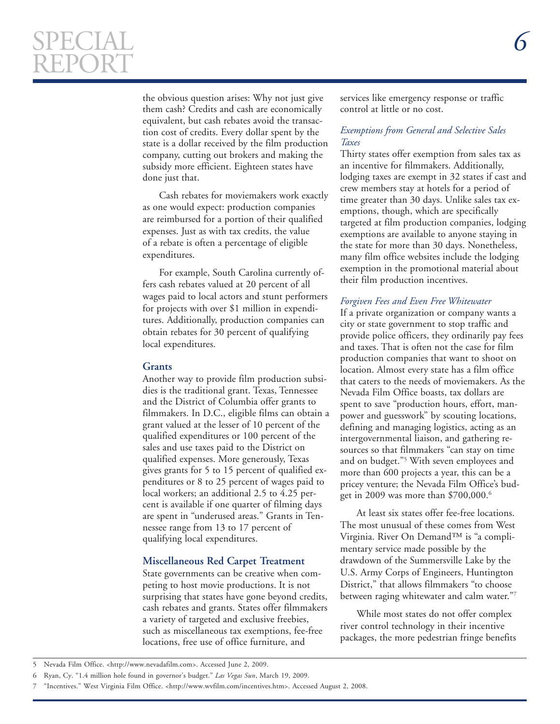# SPECIAL *6*  REPORT

 $\overline{a}$ 

the obvious question arises: Why not just give them cash? Credits and cash are economically equivalent, but cash rebates avoid the transaction cost of credits. Every dollar spent by the state is a dollar received by the film production company, cutting out brokers and making the subsidy more efficient. Eighteen states have done just that.

Cash rebates for moviemakers work exactly as one would expect: production companies are reimbursed for a portion of their qualified expenses. Just as with tax credits, the value of a rebate is often a percentage of eligible expenditures.

For example, South Carolina currently offers cash rebates valued at 20 percent of all wages paid to local actors and stunt performers for projects with over \$1 million in expenditures. Additionally, production companies can obtain rebates for 30 percent of qualifying local expenditures.

#### **Grants**

Another way to provide film production subsidies is the traditional grant. Texas, Tennessee and the District of Columbia offer grants to filmmakers. In D.C., eligible films can obtain a grant valued at the lesser of 10 percent of the qualified expenditures or 100 percent of the sales and use taxes paid to the District on qualified expenses. More generously, Texas gives grants for 5 to 15 percent of qualified expenditures or 8 to 25 percent of wages paid to local workers; an additional 2.5 to 4.25 percent is available if one quarter of filming days are spent in "underused areas." Grants in Tennessee range from 13 to 17 percent of qualifying local expenditures.

### **Miscellaneous Red Carpet Treatment**

State governments can be creative when competing to host movie productions. It is not surprising that states have gone beyond credits, cash rebates and grants. States offer filmmakers a variety of targeted and exclusive freebies, such as miscellaneous tax exemptions, fee-free locations, free use of office furniture, and

services like emergency response or traffic control at little or no cost.

#### *Exemptions from General and Selective Sales Taxes*

Thirty states offer exemption from sales tax as an incentive for filmmakers. Additionally, lodging taxes are exempt in 32 states if cast and crew members stay at hotels for a period of time greater than 30 days. Unlike sales tax exemptions, though, which are specifically targeted at film production companies, lodging exemptions are available to anyone staying in the state for more than 30 days. Nonetheless, many film office websites include the lodging exemption in the promotional material about their film production incentives.

#### *Forgiven Fees and Even Free Whitewater*

If a private organization or company wants a city or state government to stop traffic and provide police officers, they ordinarily pay fees and taxes. That is often not the case for film production companies that want to shoot on location. Almost every state has a film office that caters to the needs of moviemakers. As the Nevada Film Office boasts, tax dollars are spent to save "production hours, effort, manpower and guesswork" by scouting locations, defining and managing logistics, acting as an intergovernmental liaison, and gathering resources so that filmmakers "can stay on time and on budget."5 With seven employees and more than 600 projects a year, this can be a pricey venture; the Nevada Film Office's budget in 2009 was more than \$700,000.<sup>6</sup>

At least six states offer fee-free locations. The most unusual of these comes from West Virginia. River On Demand™ is "a complimentary service made possible by the drawdown of the Summersville Lake by the U.S. Army Corps of Engineers, Huntington District," that allows filmmakers "to choose between raging whitewater and calm water."7

While most states do not offer complex river control technology in their incentive packages, the more pedestrian fringe benefits

<sup>5</sup> Nevada Film Office. <http://www.nevadafilm.com>. Accessed June 2, 2009.

<sup>6</sup> Ryan, Cy. "1.4 million hole found in governor's budget." *Las Vegas Sun*, March 19, 2009.

<sup>7 &</sup>quot;Incentives." West Virginia Film Office. <http://www.wvfilm.com/incentives.htm>. Accessed August 2, 2008.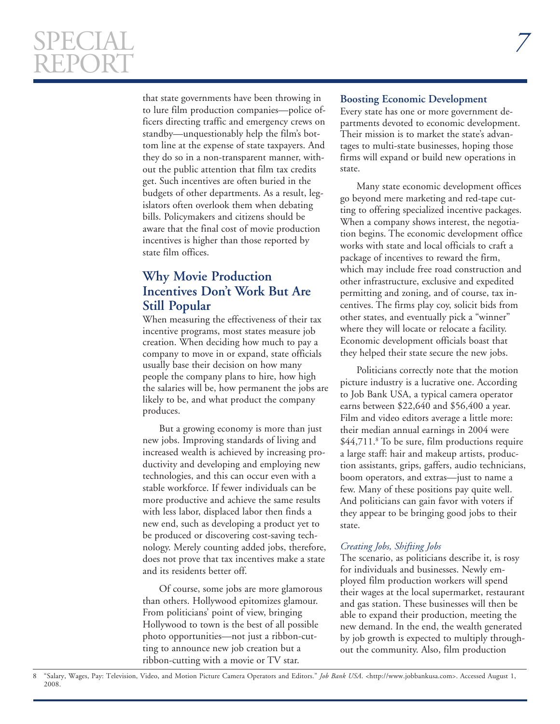# SPECIAL *7*  REPORT

 $\overline{a}$ 

that state governments have been throwing in to lure film production companies—police officers directing traffic and emergency crews on standby—unquestionably help the film's bottom line at the expense of state taxpayers. And they do so in a non-transparent manner, without the public attention that film tax credits get. Such incentives are often buried in the budgets of other departments. As a result, legislators often overlook them when debating bills. Policymakers and citizens should be aware that the final cost of movie production incentives is higher than those reported by state film offices.

# **Why Movie Production Incentives Don't Work But Are Still Popular**

When measuring the effectiveness of their tax incentive programs, most states measure job creation. When deciding how much to pay a company to move in or expand, state officials usually base their decision on how many people the company plans to hire, how high the salaries will be, how permanent the jobs are likely to be, and what product the company produces.

But a growing economy is more than just new jobs. Improving standards of living and increased wealth is achieved by increasing productivity and developing and employing new technologies, and this can occur even with a stable workforce. If fewer individuals can be more productive and achieve the same results with less labor, displaced labor then finds a new end, such as developing a product yet to be produced or discovering cost-saving technology. Merely counting added jobs, therefore, does not prove that tax incentives make a state and its residents better off.

Of course, some jobs are more glamorous than others. Hollywood epitomizes glamour. From politicians' point of view, bringing Hollywood to town is the best of all possible photo opportunities—not just a ribbon-cutting to announce new job creation but a ribbon-cutting with a movie or TV star.

#### **Boosting Economic Development**

Every state has one or more government departments devoted to economic development. Their mission is to market the state's advantages to multi-state businesses, hoping those firms will expand or build new operations in state.

Many state economic development offices go beyond mere marketing and red-tape cutting to offering specialized incentive packages. When a company shows interest, the negotiation begins. The economic development office works with state and local officials to craft a package of incentives to reward the firm, which may include free road construction and other infrastructure, exclusive and expedited permitting and zoning, and of course, tax incentives. The firms play coy, solicit bids from other states, and eventually pick a "winner" where they will locate or relocate a facility. Economic development officials boast that they helped their state secure the new jobs.

Politicians correctly note that the motion picture industry is a lucrative one. According to Job Bank USA, a typical camera operator earns between \$22,640 and \$56,400 a year. Film and video editors average a little more: their median annual earnings in 2004 were \$44,711.<sup>8</sup> To be sure, film productions require a large staff: hair and makeup artists, production assistants, grips, gaffers, audio technicians, boom operators, and extras—just to name a few. Many of these positions pay quite well. And politicians can gain favor with voters if they appear to be bringing good jobs to their state.

#### *Creating Jobs, Shifting Jobs*

The scenario, as politicians describe it, is rosy for individuals and businesses. Newly employed film production workers will spend their wages at the local supermarket, restaurant and gas station. These businesses will then be able to expand their production, meeting the new demand. In the end, the wealth generated by job growth is expected to multiply throughout the community. Also, film production

<sup>&</sup>quot;Salary, Wages, Pay: Television, Video, and Motion Picture Camera Operators and Editors." *Job Bank USA*. <http://www.jobbankusa.com>. Accessed August 1, 2008. 8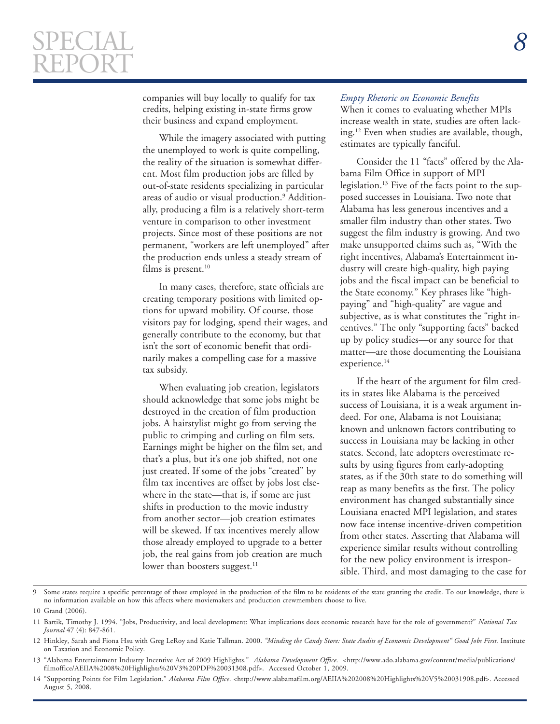companies will buy locally to qualify for tax credits, helping existing in-state firms grow their business and expand employment.

While the imagery associated with putting the unemployed to work is quite compelling, the reality of the situation is somewhat different. Most film production jobs are filled by out-of-state residents specializing in particular areas of audio or visual production.<sup>9</sup> Additionally, producing a film is a relatively short-term venture in comparison to other investment projects. Since most of these positions are not permanent, "workers are left unemployed" after the production ends unless a steady stream of films is present. $10$ 

In many cases, therefore, state officials are creating temporary positions with limited options for upward mobility. Of course, those visitors pay for lodging, spend their wages, and generally contribute to the economy, but that isn't the sort of economic benefit that ordinarily makes a compelling case for a massive tax subsidy.

When evaluating job creation, legislators should acknowledge that some jobs might be destroyed in the creation of film production jobs. A hairstylist might go from serving the public to crimping and curling on film sets. Earnings might be higher on the film set, and that's a plus, but it's one job shifted, not one just created. If some of the jobs "created" by film tax incentives are offset by jobs lost elsewhere in the state—that is, if some are just shifts in production to the movie industry from another sector—job creation estimates will be skewed. If tax incentives merely allow those already employed to upgrade to a better job, the real gains from job creation are much lower than boosters suggest.<sup>11</sup>

#### *Empty Rhetoric on Economic Benefits*

When it comes to evaluating whether MPIs increase wealth in state, studies are often lacking.12 Even when studies are available, though, estimates are typically fanciful.

Consider the 11 "facts" offered by the Alabama Film Office in support of MPI legislation.<sup>13</sup> Five of the facts point to the supposed successes in Louisiana. Two note that Alabama has less generous incentives and a smaller film industry than other states. Two suggest the film industry is growing. And two make unsupported claims such as, "With the right incentives, Alabama's Entertainment industry will create high-quality, high paying jobs and the fiscal impact can be beneficial to the State economy." Key phrases like "highpaying" and "high-quality" are vague and subjective, as is what constitutes the "right incentives." The only "supporting facts" backed up by policy studies—or any source for that matter—are those documenting the Louisiana experience.<sup>14</sup>

If the heart of the argument for film credits in states like Alabama is the perceived success of Louisiana, it is a weak argument indeed. For one, Alabama is not Louisiana; known and unknown factors contributing to success in Louisiana may be lacking in other states. Second, late adopters overestimate results by using figures from early-adopting states, as if the 30th state to do something will reap as many benefits as the first. The policy environment has changed substantially since Louisiana enacted MPI legislation, and states now face intense incentive-driven competition from other states. Asserting that Alabama will experience similar results without controlling for the new policy environment is irresponsible. Third, and most damaging to the case for

<sup>9</sup> Some states require a specific percentage of those employed in the production of the film to be residents of the state granting the credit. To our knowledge, there is no information available on how this affects where moviemakers and production crewmembers choose to live.

<sup>10</sup> Grand (2006).

<sup>11</sup> Bartik, Timothy J. 1994. "Jobs, Productivity, and local development: What implications does economic research have for the role of government?" *National Tax Journal* 47 (4): 847-861.

<sup>12</sup> Hinkley, Sarah and Fiona Hsu with Greg LeRoy and Katie Tallman. 2000. "Minding the Candy Store: State Audits of Economic Development" Good Jobs First. Institute on Taxation and Economic Policy.

<sup>13 &</sup>quot;Alabama Entertainment Industry Incentive Act of 2009 Highlights." *Alabama Development Office*. <http://www.ado.alabama.gov/content/media/publications/ filmoffice/AEIIA%2008%20Highlights%20V3%20PDF%20031308.pdf>. Accessed October 1, 2009.

<sup>14 &</sup>quot;Supporting Points for Film Legislation." *Alabama Film Office*. <http://www.alabamafilm.org/AEIIA%202008%20Highlights%20V5%20031908.pdf>. Accessed August 5, 2008.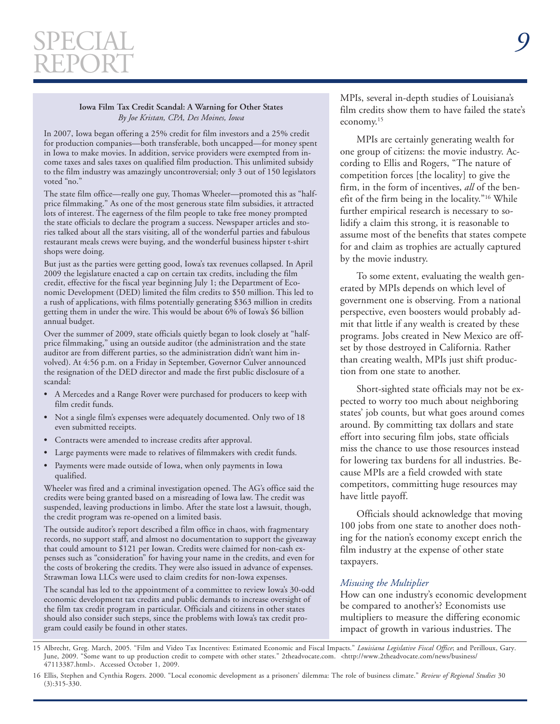#### **Iowa Film Tax Credit Scandal: A Warning for Other States**  *By Joe Kristan, CPA, Des Moines, Iowa*

 $\overline{a}$ 

In 2007, Iowa began offering a 25% credit for film investors and a 25% credit for production companies—both transferable, both uncapped—for money spent in Iowa to make movies. In addition, service providers were exempted from income taxes and sales taxes on qualified film production. This unlimited subsidy to the film industry was amazingly uncontroversial; only 3 out of 150 legislators voted "no."

The state film office—really one guy, Thomas Wheeler—promoted this as "halfprice filmmaking." As one of the most generous state film subsidies, it attracted lots of interest. The eagerness of the film people to take free money prompted the state officials to declare the program a success. Newspaper articles and stories talked about all the stars visiting, all of the wonderful parties and fabulous restaurant meals crews were buying, and the wonderful business hipster t-shirt shops were doing.

But just as the parties were getting good, Iowa's tax revenues collapsed. In April 2009 the legislature enacted a cap on certain tax credits, including the film credit, effective for the fiscal year beginning July 1; the Department of Economic Development (DED) limited the film credits to \$50 million. This led to a rush of applications, with films potentially generating \$363 million in credits getting them in under the wire. This would be about 6% of Iowa's \$6 billion annual budget.

Over the summer of 2009, state officials quietly began to look closely at "halfprice filmmaking," using an outside auditor (the administration and the state auditor are from different parties, so the administration didn't want him involved). At 4:56 p.m. on a Friday in September, Governor Culver announced the resignation of the DED director and made the first public disclosure of a scandal:

- A Mercedes and a Range Rover were purchased for producers to keep with film credit funds.
- Not a single film's expenses were adequately documented. Only two of 18 even submitted receipts.
- Contracts were amended to increase credits after approval.
- Large payments were made to relatives of filmmakers with credit funds.
- Payments were made outside of Iowa, when only payments in Iowa qualified.

Wheeler was fired and a criminal investigation opened. The AG's office said the credits were being granted based on a misreading of Iowa law. The credit was suspended, leaving productions in limbo. After the state lost a lawsuit, though, the credit program was re-opened on a limited basis.

The outside auditor's report described a film office in chaos, with fragmentary records, no support staff, and almost no documentation to support the giveaway that could amount to \$121 per Iowan. Credits were claimed for non-cash expenses such as "consideration" for having your name in the credits, and even for the costs of brokering the credits. They were also issued in advance of expenses. Strawman Iowa LLCs were used to claim credits for non-Iowa expenses.

The scandal has led to the appointment of a committee to review Iowa's 30-odd economic development tax credits and public demands to increase oversight of the film tax credit program in particular. Officials and citizens in other states should also consider such steps, since the problems with Iowa's tax credit program could easily be found in other states.

MPIs, several in-depth studies of Louisiana's film credits show them to have failed the state's economy.15

MPIs are certainly generating wealth for one group of citizens: the movie industry. According to Ellis and Rogers, "The nature of competition forces [the locality] to give the firm, in the form of incentives, *all* of the benefit of the firm being in the locality."16 While further empirical research is necessary to solidify a claim this strong, it is reasonable to assume most of the benefits that states compete for and claim as trophies are actually captured by the movie industry.

To some extent, evaluating the wealth generated by MPIs depends on which level of government one is observing. From a national perspective, even boosters would probably admit that little if any wealth is created by these programs. Jobs created in New Mexico are offset by those destroyed in California. Rather than creating wealth, MPIs just shift production from one state to another.

Short-sighted state officials may not be expected to worry too much about neighboring states' job counts, but what goes around comes around. By committing tax dollars and state effort into securing film jobs, state officials miss the chance to use those resources instead for lowering tax burdens for all industries. Because MPIs are a field crowded with state competitors, committing huge resources may have little payoff.

Officials should acknowledge that moving 100 jobs from one state to another does nothing for the nation's economy except enrich the film industry at the expense of other state taxpayers.

#### *Misusing the Multiplier*

How can one industry's economic development be compared to another's? Economists use multipliers to measure the differing economic impact of growth in various industries. The

15 Albrecht, Greg. March, 2005. "Film and Video Tax Incentives: Estimated Economic and Fiscal Impacts." *Louisiana Legislative Fiscal Office*; and Perilloux, Gary. June, 2009. "Some want to up production credit to compete with other states." 2theadvocate.com. <http://www.2theadvocate.com/news/business/ 47113387.html>. Accessed October 1, 2009.

<sup>16</sup> Ellis, Stephen and Cynthia Rogers. 2000. "Local economic development as a prisoners' dilemma: The role of business climate." *Review of Regional Studies* 30  $(3):315-\overline{3}30.$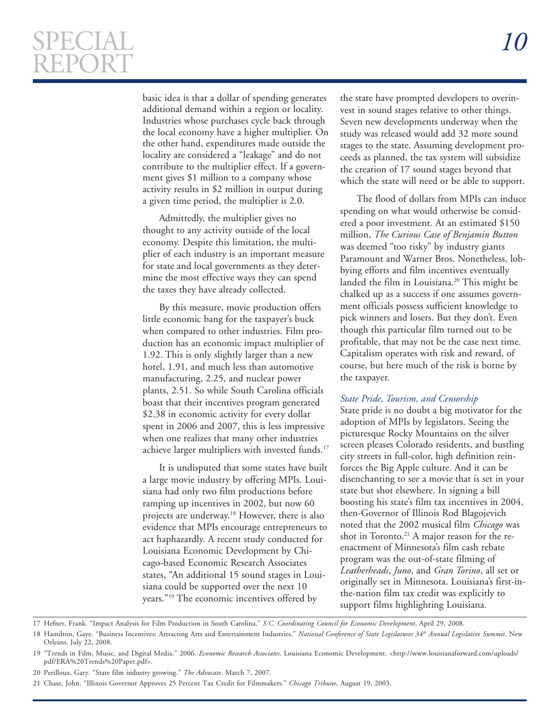$\overline{a}$ 

basic idea is that a dollar of spending generates the state have prompted developers to overinadditional demand within a region or locality. Industries whose purchases cycle back through the local economy have a higher multiplier. On the other hand, expenditures made outside the locality are considered a "leakage" and do not contribute to the multiplier effect. If a government gives \$1 million to a company whose activity results in \$2 million in output during a given time period, the multiplier is 2.0.

Admittedly, the multiplier gives no thought to any activity outside of the local economy. Despite this limitation, the multiplier of each industry is an important measure for state and local governments as they determine the most effective ways they can spend the taxes they have already collected.

By this measure, movie production offers little economic bang for the taxpayer's buck when compared to other industries. Film production has an economic impact multiplier of 1.92. This is only slightly larger than a new hotel, 1.91, and much less than automotive manufacturing, 2.25, and nuclear power plants, 2.51. So while South Carolina officials boast that their incentives program generated \$2.38 in economic activity for every dollar spent in 2006 and 2007, this is less impressive when one realizes that many other industries achieve larger multipliers with invested funds.<sup>17</sup>

It is undisputed that some states have built a large movie industry by offering MPIs. Louisiana had only two film productions before ramping up incentives in 2002, but now 60 projects are underway.18 However, there is also evidence that MPIs encourage entrepreneurs to act haphazardly. A recent study conducted for Louisiana Economic Development by Chicago-based Economic Research Associates states, "An additional 15 sound stages in Louisiana could be supported over the next 10 years."19 The economic incentives offered by

vest in sound stages relative to other things. Seven new developments underway when the study was released would add 32 more sound stages to the state. Assuming development proceeds as planned, the tax system will subsidize the creation of 17 sound stages beyond that which the state will need or be able to support.

The flood of dollars from MPIs can induce spending on what would otherwise be considered a poor investment. At an estimated \$150 million, *The Curious Case of Benjamin Button*  was deemed "too risky" by industry giants Paramount and Warner Bros. Nonetheless, lobbying efforts and film incentives eventually landed the film in Louisiana.<sup>20</sup> This might be chalked up as a success if one assumes government officials possess sufficient knowledge to pick winners and losers. But they don't. Even though this particular film turned out to be profitable, that may not be the case next time. Capitalism operates with risk and reward, of course, but here much of the risk is borne by the taxpayer.

#### *State Pride, Tourism, and Censorship*

State pride is no doubt a big motivator for the adoption of MPIs by legislators. Seeing the picturesque Rocky Mountains on the silver screen pleases Colorado residents, and bustling city streets in full-color, high definition reinforces the Big Apple culture. And it can be disenchanting to see a movie that is set in your state but shot elsewhere. In signing a bill boosting his state's film tax incentives in 2004, then-Governor of Illinois Rod Blagojevich noted that the 2002 musical film *Chicago* was shot in Toronto.<sup>21</sup> A major reason for the reenactment of Minnesota's film cash rebate program was the out-of-state filming of *Leatherheads*, *Juno*, and *Gran Torino*, all set or originally set in Minnesota. Louisiana's first-inthe-nation film tax credit was explicitly to support films highlighting Louisiana.

17 Hefner, Frank. "Impact Analysis for Film Production in South Carolina." *S.C. Coordinating Council for Economic Development*, April 29, 2008.

<sup>18</sup> Hamilton, Gaye. "Business Incentives: Attracting Arts and Entertainment Industries." *National Conference of State Legislatures 34th Annual Legislative Summit*, New Orleans. July 22, 2008.

<sup>19 &</sup>quot;Trends in Film, Music, and Digital Media." 2006. *Economic Research Associates*. Louisiana Economic Development. <http://www.louisianaforward.com/uploads/ pdf/ERA%20Trends%20Paper.pdf>.

<sup>20</sup> Perilloux, Gary. "State film industry growing." *The Advocate*. March 7, 2007.

<sup>21</sup> Chase, John. "Illinois Governor Approves 25 Percent Tax Credit for Filmmakers." *Chicago Tribune*, August 19, 2003.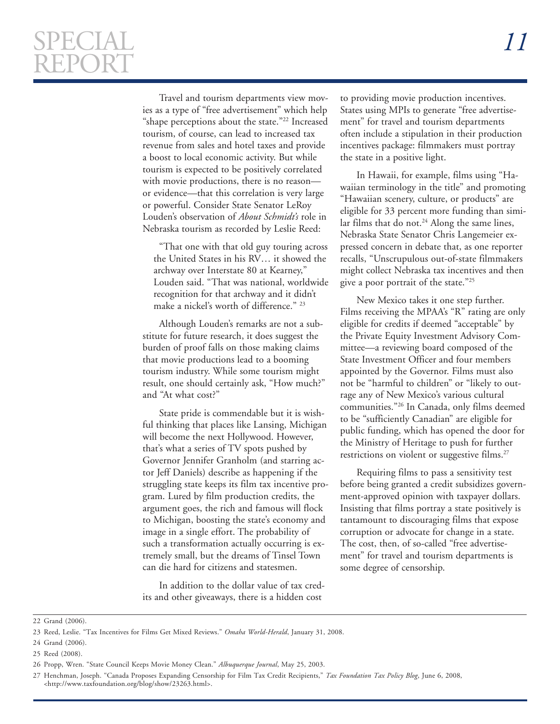$\overline{a}$ 

Travel and tourism departments view movies as a type of "free advertisement" which help "shape perceptions about the state."22 Increased tourism, of course, can lead to increased tax revenue from sales and hotel taxes and provide a boost to local economic activity. But while tourism is expected to be positively correlated with movie productions, there is no reasonor evidence—that this correlation is very large or powerful. Consider State Senator LeRoy Louden's observation of *About Schmidt's* role in Nebraska tourism as recorded by Leslie Reed:

"That one with that old guy touring across the United States in his RV… it showed the archway over Interstate 80 at Kearney," Louden said. "That was national, worldwide recognition for that archway and it didn't make a nickel's worth of difference." 23

Although Louden's remarks are not a substitute for future research, it does suggest the burden of proof falls on those making claims that movie productions lead to a booming tourism industry. While some tourism might result, one should certainly ask, "How much?" and "At what cost?"

State pride is commendable but it is wishful thinking that places like Lansing, Michigan will become the next Hollywood. However, that's what a series of TV spots pushed by Governor Jennifer Granholm (and starring actor Jeff Daniels) describe as happening if the struggling state keeps its film tax incentive program. Lured by film production credits, the argument goes, the rich and famous will flock to Michigan, boosting the state's economy and image in a single effort. The probability of such a transformation actually occurring is extremely small, but the dreams of Tinsel Town can die hard for citizens and statesmen.

In addition to the dollar value of tax credits and other giveaways, there is a hidden cost

to providing movie production incentives. States using MPIs to generate "free advertisement" for travel and tourism departments often include a stipulation in their production incentives package: filmmakers must portray the state in a positive light.

In Hawaii, for example, films using "Hawaiian terminology in the title" and promoting "Hawaiian scenery, culture, or products" are eligible for 33 percent more funding than similar films that do not. $24$  Along the same lines, Nebraska State Senator Chris Langemeier expressed concern in debate that, as one reporter recalls, "Unscrupulous out-of-state filmmakers might collect Nebraska tax incentives and then give a poor portrait of the state."25

New Mexico takes it one step further. Films receiving the MPAA's "R" rating are only eligible for credits if deemed "acceptable" by the Private Equity Investment Advisory Committee—a reviewing board composed of the State Investment Officer and four members appointed by the Governor. Films must also not be "harmful to children" or "likely to outrage any of New Mexico's various cultural communities."26 In Canada, only films deemed to be "sufficiently Canadian" are eligible for public funding, which has opened the door for the Ministry of Heritage to push for further restrictions on violent or suggestive films.<sup>27</sup>

Requiring films to pass a sensitivity test before being granted a credit subsidizes government-approved opinion with taxpayer dollars. Insisting that films portray a state positively is tantamount to discouraging films that expose corruption or advocate for change in a state. The cost, then, of so-called "free advertisement" for travel and tourism departments is some degree of censorship.

22 Grand (2006).

25 Reed (2008).

<sup>23</sup> Reed, Leslie. "Tax Incentives for Films Get Mixed Reviews." *Omaha World-Herald*, January 31, 2008.

<sup>24</sup> Grand (2006).

<sup>26</sup> Propp, Wren. "State Council Keeps Movie Money Clean." *Albuquerque Journal*, May 25, 2003.

<sup>27</sup> Henchman, Joseph. "Canada Proposes Expanding Censorship for Film Tax Credit Recipients," *Tax Foundation Tax Policy Blog*, June 6, 2008, <http://www.taxfoundation.org/blog/show/23263.html>.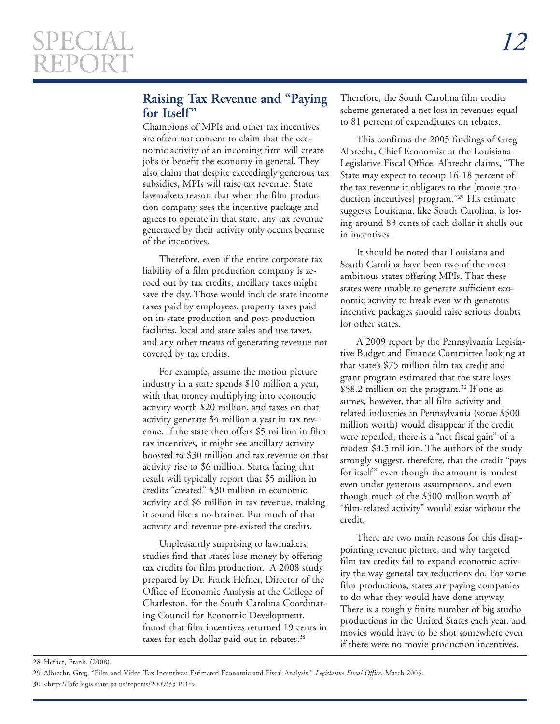# **Raising Tax Revenue and "Paying for Itself"**

Champions of MPIs and other tax incentives are often not content to claim that the economic activity of an incoming firm will create jobs or benefit the economy in general. They also claim that despite exceedingly generous tax subsidies, MPIs will raise tax revenue. State lawmakers reason that when the film production company sees the incentive package and agrees to operate in that state, any tax revenue generated by their activity only occurs because of the incentives.

Therefore, even if the entire corporate tax liability of a film production company is zeroed out by tax credits, ancillary taxes might save the day. Those would include state income taxes paid by employees, property taxes paid on in-state production and post-production facilities, local and state sales and use taxes, and any other means of generating revenue not covered by tax credits.

For example, assume the motion picture industry in a state spends \$10 million a year, with that money multiplying into economic activity worth \$20 million, and taxes on that activity generate \$4 million a year in tax revenue. If the state then offers \$5 million in film tax incentives, it might see ancillary activity boosted to \$30 million and tax revenue on that activity rise to \$6 million. States facing that result will typically report that \$5 million in credits "created" \$30 million in economic activity and \$6 million in tax revenue, making it sound like a no-brainer. But much of that activity and revenue pre-existed the credits.

Unpleasantly surprising to lawmakers, studies find that states lose money by offering tax credits for film production. A 2008 study prepared by Dr. Frank Hefner, Director of the Office of Economic Analysis at the College of Charleston, for the South Carolina Coordinating Council for Economic Development, found that film incentives returned 19 cents in taxes for each dollar paid out in rebates.<sup>28</sup>

Therefore, the South Carolina film credits scheme generated a net loss in revenues equal to 81 percent of expenditures on rebates.

This confirms the 2005 findings of Greg Albrecht, Chief Economist at the Louisiana Legislative Fiscal Office. Albrecht claims, "The State may expect to recoup 16-18 percent of the tax revenue it obligates to the [movie production incentives] program."<sup>29</sup> His estimate suggests Louisiana, like South Carolina, is losing around 83 cents of each dollar it shells out in incentives.

It should be noted that Louisiana and South Carolina have been two of the most ambitious states offering MPIs. That these states were unable to generate sufficient economic activity to break even with generous incentive packages should raise serious doubts for other states.

A 2009 report by the Pennsylvania Legislative Budget and Finance Committee looking at that state's \$75 million film tax credit and grant program estimated that the state loses \$58.2 million on the program.<sup>30</sup> If one assumes, however, that all film activity and related industries in Pennsylvania (some \$500 million worth) would disappear if the credit were repealed, there is a "net fiscal gain" of a modest \$4.5 million. The authors of the study strongly suggest, therefore, that the credit "pays for itself" even though the amount is modest even under generous assumptions, and even though much of the \$500 million worth of "film-related activity" would exist without the credit.

There are two main reasons for this disappointing revenue picture, and why targeted film tax credits fail to expand economic activity the way general tax reductions do. For some film productions, states are paying companies to do what they would have done anyway. There is a roughly finite number of big studio productions in the United States each year, and movies would have to be shot somewhere even if there were no movie production incentives.

28 Hefner, Frank. (2008).

<sup>29</sup> Albrecht, Greg. "Film and Video Tax Incentives: Estimated Economic and Fiscal Analysis." *Legislative Fiscal Office*, March 2005.

<sup>30 &</sup>lt;http://lbfc.legis.state.pa.us/reports/2009/35.PDF>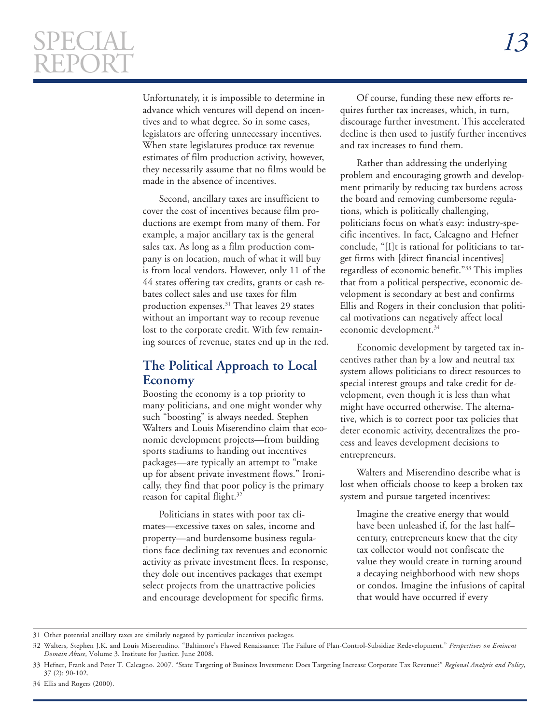$\overline{a}$ 

Unfortunately, it is impossible to determine in advance which ventures will depend on incentives and to what degree. So in some cases, legislators are offering unnecessary incentives. When state legislatures produce tax revenue estimates of film production activity, however, they necessarily assume that no films would be made in the absence of incentives.

Second, ancillary taxes are insufficient to cover the cost of incentives because film productions are exempt from many of them. For example, a major ancillary tax is the general sales tax. As long as a film production company is on location, much of what it will buy is from local vendors. However, only 11 of the 44 states offering tax credits, grants or cash rebates collect sales and use taxes for film production expenses.<sup>31</sup> That leaves 29 states without an important way to recoup revenue lost to the corporate credit. With few remaining sources of revenue, states end up in the red.

# **The Political Approach to Local Economy**

Boosting the economy is a top priority to many politicians, and one might wonder why such "boosting" is always needed. Stephen Walters and Louis Miserendino claim that economic development projects—from building sports stadiums to handing out incentives packages—are typically an attempt to "make up for absent private investment flows." Ironically, they find that poor policy is the primary reason for capital flight.<sup>32</sup>

Politicians in states with poor tax climates—excessive taxes on sales, income and property—and burdensome business regulations face declining tax revenues and economic activity as private investment flees. In response, they dole out incentives packages that exempt select projects from the unattractive policies and encourage development for specific firms.

Of course, funding these new efforts requires further tax increases, which, in turn, discourage further investment. This accelerated decline is then used to justify further incentives and tax increases to fund them.

Rather than addressing the underlying problem and encouraging growth and development primarily by reducing tax burdens across the board and removing cumbersome regulations, which is politically challenging, politicians focus on what's easy: industry-specific incentives. In fact, Calcagno and Hefner conclude, "[I]t is rational for politicians to target firms with [direct financial incentives] regardless of economic benefit."33 This implies that from a political perspective, economic development is secondary at best and confirms Ellis and Rogers in their conclusion that political motivations can negatively affect local economic development.<sup>34</sup>

Economic development by targeted tax incentives rather than by a low and neutral tax system allows politicians to direct resources to special interest groups and take credit for development, even though it is less than what might have occurred otherwise. The alternative, which is to correct poor tax policies that deter economic activity, decentralizes the process and leaves development decisions to entrepreneurs.

Walters and Miserendino describe what is lost when officials choose to keep a broken tax system and pursue targeted incentives:

Imagine the creative energy that would have been unleashed if, for the last half– century, entrepreneurs knew that the city tax collector would not confiscate the value they would create in turning around a decaying neighborhood with new shops or condos. Imagine the infusions of capital that would have occurred if every

34 Ellis and Rogers (2000).

<sup>31</sup> Other potential ancillary taxes are similarly negated by particular incentives packages.

<sup>32</sup> Walters, Stephen J.K. and Louis Miserendino. "Baltimore's Flawed Renaissance: The Failure of Plan-Control-Subsidize Redevelopment." *Perspectives on Eminent Domain Abuse*, Volume 3. Institute for Justice. June 2008.

<sup>33</sup> Hefner, Frank and Peter T. Calcagno. 2007. "State Targeting of Business Investment: Does Targeting Increase Corporate Tax Revenue?" *Regional Analysis and Policy*, 37 (2): 90-102.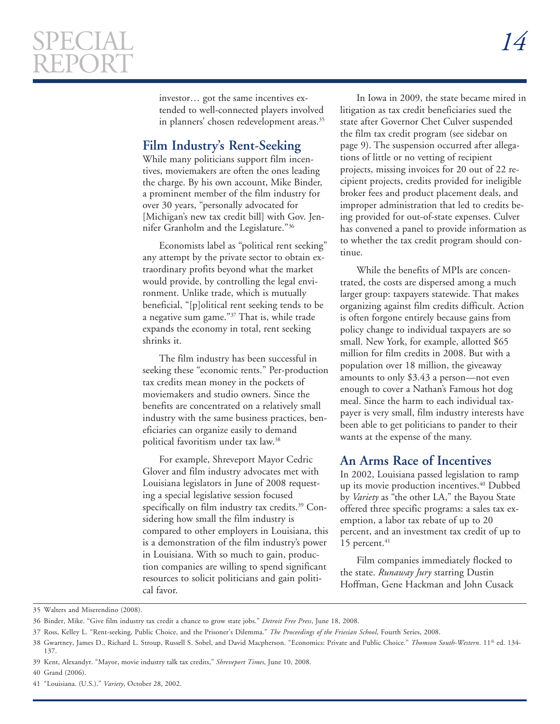investor… got the same incentives extended to well-connected players involved in planners' chosen redevelopment areas.<sup>35</sup>

# **Film Industry's Rent-Seeking**

While many politicians support film incentives, moviemakers are often the ones leading the charge. By his own account, Mike Binder, a prominent member of the film industry for over 30 years, "personally advocated for [Michigan's new tax credit bill] with Gov. Jennifer Granholm and the Legislature."36

Economists label as "political rent seeking" any attempt by the private sector to obtain extraordinary profits beyond what the market would provide, by controlling the legal environment. Unlike trade, which is mutually beneficial, "[p]olitical rent seeking tends to be a negative sum game."37 That is, while trade expands the economy in total, rent seeking shrinks it.

The film industry has been successful in seeking these "economic rents." Per-production tax credits mean money in the pockets of moviemakers and studio owners. Since the benefits are concentrated on a relatively small industry with the same business practices, beneficiaries can organize easily to demand political favoritism under tax law.38

For example, Shreveport Mayor Cedric Glover and film industry advocates met with Louisiana legislators in June of 2008 requesting a special legislative session focused specifically on film industry tax credits.39 Considering how small the film industry is compared to other employers in Louisiana, this is a demonstration of the film industry's power in Louisiana. With so much to gain, production companies are willing to spend significant resources to solicit politicians and gain political favor.

In Iowa in 2009, the state became mired in litigation as tax credit beneficiaries sued the state after Governor Chet Culver suspended the film tax credit program (see sidebar on page 9). The suspension occurred after allegations of little or no vetting of recipient projects, missing invoices for 20 out of 22 recipient projects, credits provided for ineligible broker fees and product placement deals, and improper administration that led to credits being provided for out-of-state expenses. Culver has convened a panel to provide information as to whether the tax credit program should continue.

While the benefits of MPIs are concentrated, the costs are dispersed among a much larger group: taxpayers statewide. That makes organizing against film credits difficult. Action is often forgone entirely because gains from policy change to individual taxpayers are so small. New York, for example, allotted \$65 million for film credits in 2008. But with a population over 18 million, the giveaway amounts to only \$3.43 a person—not even enough to cover a Nathan's Famous hot dog meal. Since the harm to each individual taxpayer is very small, film industry interests have been able to get politicians to pander to their wants at the expense of the many.

### **An Arms Race of Incentives**

In 2002, Louisiana passed legislation to ramp up its movie production incentives.<sup>40</sup> Dubbed by *Variety* as "the other LA," the Bayou State offered three specific programs: a sales tax exemption, a labor tax rebate of up to 20 percent, and an investment tax credit of up to 15 percent. $41$ 

Film companies immediately flocked to the state. *Runaway Jury* starring Dustin Hoffman, Gene Hackman and John Cusack

<sup>35</sup> Walters and Miserendino (2008).

<sup>36</sup> Binder, Mike. "Give film industry tax credit a chance to grow state jobs." *Detroit Free Press*, June 18, 2008.

<sup>37</sup> Ross, Kelley L. "Rent-seeking, Public Choice, and the Prisoner's Dilemma." *The Proceedings of the Friesian School*, Fourth Series, 2008.

<sup>38</sup> Gwartney, James D., Richard L. Stroup, Russell S. Sobel, and David Macpherson. "Economics: Private and Public Choice." *Thomson South-Western*. 11th ed. 134 137.

<sup>39</sup> Kent, Alexandyr. "Mayor, movie industry talk tax credits," *Shreveport Times*, June 10, 2008.

<sup>40</sup> Grand (2006).

<sup>41 &</sup>quot;Louisiana. (U.S.)." *Variety*, October 28, 2002.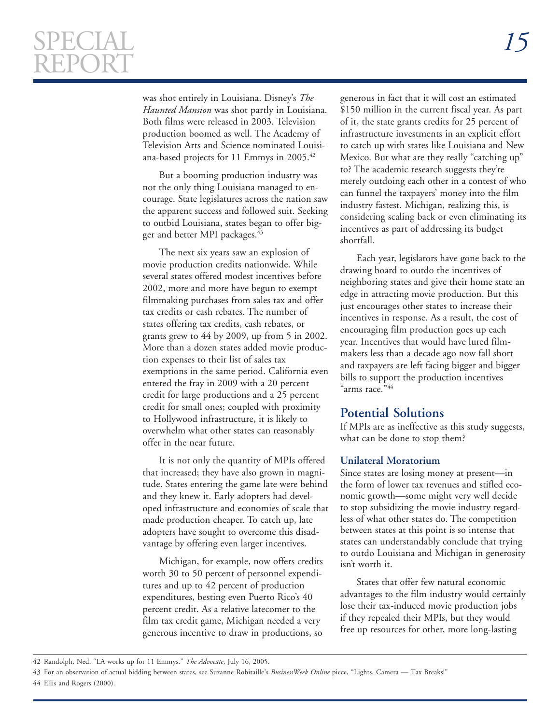$\overline{a}$ 

was shot entirely in Louisiana. Disney's *The Haunted Mansion* was shot partly in Louisiana. Both films were released in 2003. Television production boomed as well. The Academy of Television Arts and Science nominated Louisiana-based projects for 11 Emmys in 2005.42

But a booming production industry was not the only thing Louisiana managed to encourage. State legislatures across the nation saw the apparent success and followed suit. Seeking to outbid Louisiana, states began to offer bigger and better MPI packages.<sup>43</sup>

The next six years saw an explosion of movie production credits nationwide. While several states offered modest incentives before 2002, more and more have begun to exempt filmmaking purchases from sales tax and offer tax credits or cash rebates. The number of states offering tax credits, cash rebates, or grants grew to 44 by 2009, up from 5 in 2002. More than a dozen states added movie production expenses to their list of sales tax exemptions in the same period. California even entered the fray in 2009 with a 20 percent credit for large productions and a 25 percent credit for small ones; coupled with proximity to Hollywood infrastructure, it is likely to overwhelm what other states can reasonably offer in the near future.

It is not only the quantity of MPIs offered that increased; they have also grown in magnitude. States entering the game late were behind and they knew it. Early adopters had developed infrastructure and economies of scale that made production cheaper. To catch up, late adopters have sought to overcome this disadvantage by offering even larger incentives.

Michigan, for example, now offers credits worth 30 to 50 percent of personnel expenditures and up to 42 percent of production expenditures, besting even Puerto Rico's 40 percent credit. As a relative latecomer to the film tax credit game, Michigan needed a very generous incentive to draw in productions, so

generous in fact that it will cost an estimated \$150 million in the current fiscal year. As part of it, the state grants credits for 25 percent of infrastructure investments in an explicit effort to catch up with states like Louisiana and New Mexico. But what are they really "catching up" to? The academic research suggests they're merely outdoing each other in a contest of who can funnel the taxpayers' money into the film industry fastest. Michigan, realizing this, is considering scaling back or even eliminating its incentives as part of addressing its budget shortfall.

Each year, legislators have gone back to the drawing board to outdo the incentives of neighboring states and give their home state an edge in attracting movie production. But this just encourages other states to increase their incentives in response. As a result, the cost of encouraging film production goes up each year. Incentives that would have lured filmmakers less than a decade ago now fall short and taxpayers are left facing bigger and bigger bills to support the production incentives "arms race."44

### **Potential Solutions**

If MPIs are as ineffective as this study suggests, what can be done to stop them?

#### **Unilateral Moratorium**

Since states are losing money at present—in the form of lower tax revenues and stifled economic growth—some might very well decide to stop subsidizing the movie industry regardless of what other states do. The competition between states at this point is so intense that states can understandably conclude that trying to outdo Louisiana and Michigan in generosity isn't worth it.

States that offer few natural economic advantages to the film industry would certainly lose their tax-induced movie production jobs if they repealed their MPIs, but they would free up resources for other, more long-lasting

<sup>42</sup> Randolph, Ned. "LA works up for 11 Emmys." *The Advocate*, July 16, 2005.

<sup>43</sup> For an observation of actual bidding between states, see Suzanne Robitaille's *BusinessWeek Online* piece, "Lights, Camera — Tax Breaks!" 44 Ellis and Rogers (2000).